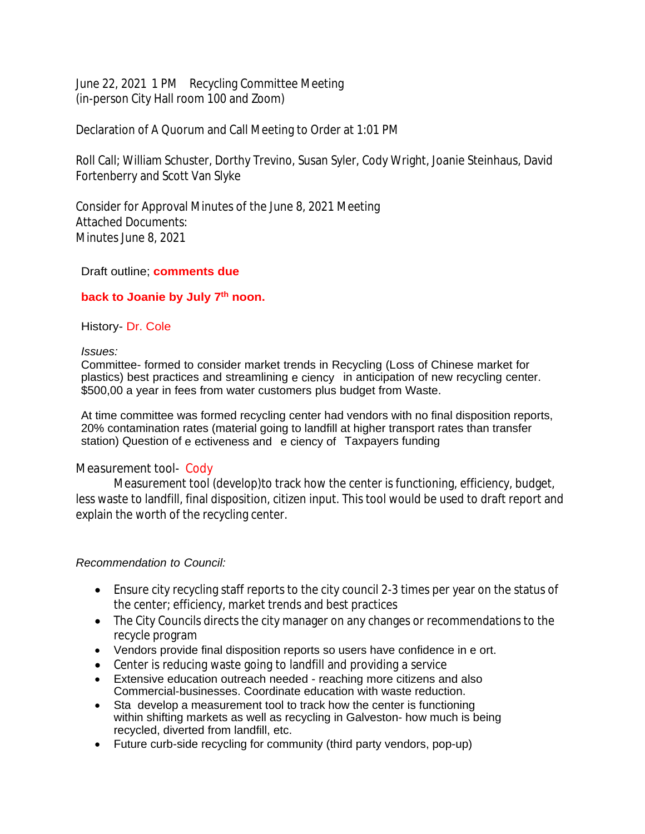June 22, 2021 1 PM Recycling Committee Meeting (in-person City Hall room 100 and Zoom)

Declaration of A Quorum and Call Meeting to Order at 1:01 PM

Roll Call; William Schuster, Dorthy Trevino, Susan Syler, Cody Wright, Joanie Steinhaus, David Fortenberry and Scott Van Slyke

Consider for Approval Minutes of the June 8, 2021 Meeting Attached Documents: Minutes June 8, 2021

## Draft outline; **comments due**

## **back to Joanie by July 7th noon.**

### History- Dr. Cole

#### *Issues:*

Committee- formed to consider market trends in Recycling (Loss of Chinese market for plastics) best practices and streamlining e ciency in anticipation of new recycling center. \$500,00 a year in fees from water customers plus budget from Waste.

At time committee was formed recycling center had vendors with no final disposition reports, 20% contamination rates (material going to landfill at higher transport rates than transfer station) Question of e ectiveness and e ciency of Taxpayers funding

# *Measurement tool-* Cody

Measurement tool (develop)to track how the center is functioning, efficiency, budget, less waste to landfill, final disposition, citizen input. This tool would be used to draft report and explain the worth of the recycling center.

# *Recommendation to Council:*

- Ensure city recycling staff reports to the city council 2-3 times per year on the status of the center; efficiency, market trends and best practices
- The City Councils directs the city manager on any changes or recommendations to the recycle program
- Vendors provide final disposition reports so users have confidence in e ort.
- Center is reducing waste going to landfill and providing a service
- Extensive education outreach needed reaching more citizens and also Commercial-businesses. Coordinate education with waste reduction.
- Sta develop a measurement tool to track how the center is functioning within shifting markets as well as recycling in Galveston- how much is being recycled, diverted from landfill, etc.
- Future curb-side recycling for community (third party vendors, pop-up)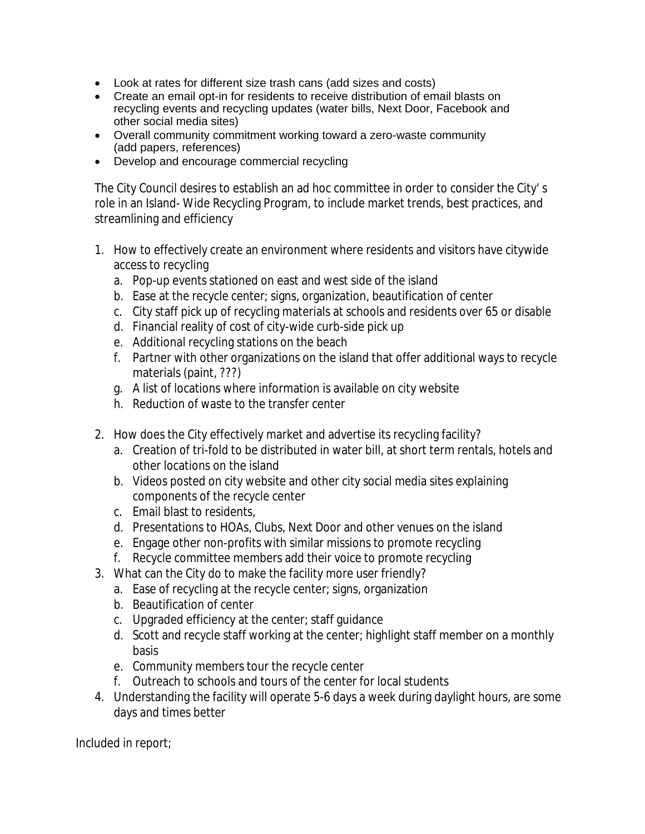- Look at rates for different size trash cans (add sizes and costs)
- Create an email opt-in for residents to receive distribution of email blasts on recycling events and recycling updates (water bills, Next Door, Facebook and other social media sites)
- Overall community commitment working toward a zero-waste community (add papers, references)
- Develop and encourage commercial recycling

The City Council desires to establish an ad hoc committee in order to consider the City' s role in an Island- Wide Recycling Program, to include market trends, best practices, and streamlining and efficiency

- 1. How to effectively create an environment where residents and visitors have citywide access to recycling
	- a. Pop-up events stationed on east and west side of the island
	- b. Ease at the recycle center; signs, organization, beautification of center
	- c. City staff pick up of recycling materials at schools and residents over 65 or disable
	- d. Financial reality of cost of city-wide curb-side pick up
	- e. Additional recycling stations on the beach
	- f. Partner with other organizations on the island that offer additional ways to recycle materials (paint, ???)
	- g. A list of locations where information is available on city website
	- h. Reduction of waste to the transfer center
- 2. How does the City effectively market and advertise its recycling facility?
	- a. Creation of tri-fold to be distributed in water bill, at short term rentals, hotels and other locations on the island
	- b. Videos posted on city website and other city social media sites explaining components of the recycle center
	- c. Email blast to residents,
	- d. Presentations to HOAs, Clubs, Next Door and other venues on the island
	- e. Engage other non-profits with similar missions to promote recycling
	- f. Recycle committee members add their voice to promote recycling
- 3. What can the City do to make the facility more user friendly?
	- a. Ease of recycling at the recycle center; signs, organization
	- b. Beautification of center
	- c. Upgraded efficiency at the center; staff guidance
	- d. Scott and recycle staff working at the center; highlight staff member on a monthly basis
	- e. Community members tour the recycle center
	- f. Outreach to schools and tours of the center for local students
- 4. Understanding the facility will operate 5-6 days a week during daylight hours, are some days and times better

Included in report;